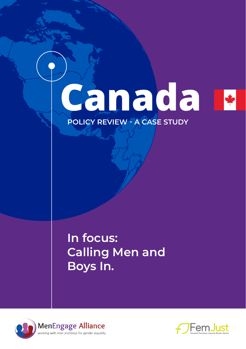# **Canada POLICY REVIEW - A CASE STUDY**

## **In focus: Calling Men and Boys In.**



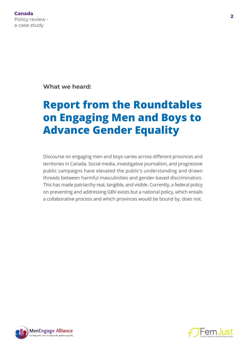**What we heard:** 

### **Report from the Roundtables on Engaging Men and Boys to Advance Gender Equality**

Discourse on engaging men and boys varies across different provinces and territories in Canada. Social media, investigative journalism, and progressive public campaigns have elevated the public's understanding and drawn threads between harmful masculinities and gender-based discrimination. This has made patriarchy real, tangible, and visible. Currently, a federal policy on preventing and addressing GBV exists but a national policy, which entails a collaborative process and which provinces would be bound by, does not.



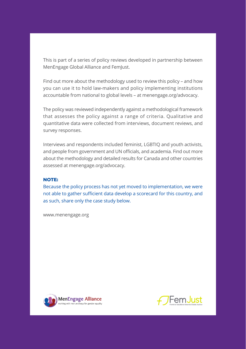This is part of a series of policy reviews developed in partnership between MenEngage Global Alliance and FemJust.

Find out more about the methodology used to review this policy – and how you can use it to hold law-makers and policy implementing institutions accountable from national to global levels – at [menengage.org/advocacy.](https://www.menengage.org/advocacy)

The policy was reviewed independently against a methodological framework that assesses the policy against a range of criteria. Qualitative and quantitative data were collected from interviews, document reviews, and survey responses.

Interviews and respondents included feminist, LGBTIQ and youth activists, and people from government and UN officials, and academia. Find out more about the methodology and detailed results for Canada and other countries assessed at [menengage.org/advocacy.](https://www.menengage.org/advocacy)

#### **NOTE:**

Because the policy process has not yet moved to implementation, we were not able to gather sufficient data develop a scorecard for this country, and as such, share only the case study below.

[www.menengage.org](https://www.menengage.org)



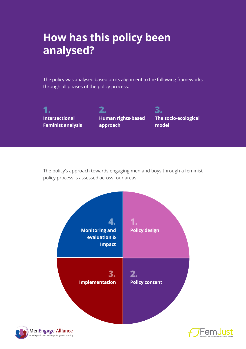### **How has this policy been analysed?**

The policy was analysed based on its alignment to the following frameworks through all phases of the policy process:

**1. Intersectional Feminist analysis**

**2. Human rights-based approach**

**3. The socio-ecological model**

The policy's approach towards engaging men and boys through a feminist policy process is assessed across four areas:





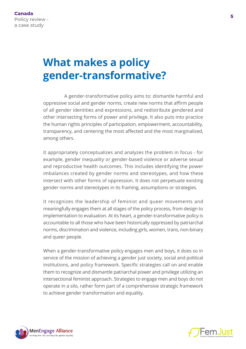### **What makes a policy gender-transformative?**

A gender-transformative policy aims to: dismantle harmful and oppressive social and gender norms, create new norms that affirm people of all gender identities and expressions, and redistribute gendered and other intersecting forms of power and privilege. It also puts into practice the human rights principles of participation, empowerment, accountability, transparency, and centering the most affected and the most marginalized, among others.

It appropriately conceptualizes and analyzes the problem in focus - for example, gender inequality or gender-based violence or adverse sexual and reproductive health outcomes. This includes identifying the power imbalances created by gender norms and stereotypes, and how these intersect with other forms of oppression. It does not perpetuate existing gender norms and stereotypes in its framing, assumptions or strategies.

It recognizes the leadership of feminist and queer movements and meaningfully engages them at all stages of the policy process, from design to implementation to evaluation. At its heart, a gender-transformative policy is accountable to all those who have been historically oppressed by patriarchal norms, discrimination and violence, including girls, women, trans, non-binary and queer people.

When a gender-transformative policy engages men and boys, it does so in service of the mission of achieving a gender just society, social and political institutions, and policy framework. Specific strategies call on and enable them to recognize and dismantle patriarchal power and privilege utilizing an intersectional feminist approach. Strategies to engage men and boys do not operate in a silo, rather form part of a comprehensive strategic framework to achieve gender transformation and equality.



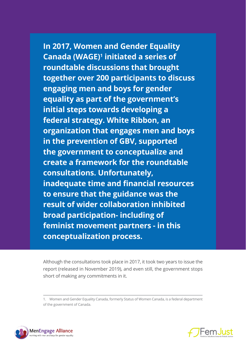**In 2017, Women and Gender Equality Canada (WAGE)1 initiated a series of roundtable discussions that brought together over 200 participants to discuss engaging men and boys for gender equality as part of the government's initial steps towards developing a federal strategy. White Ribbon, an organization that engages men and boys in the prevention of GBV, supported the government to conceptualize and create a framework for the roundtable consultations. Unfortunately, inadequate time and financial resources to ensure that the guidance was the result of wider collaboration inhibited broad participation- including of feminist movement partners - in this conceptualization process.**

Although the consultations took place in 2017, it took two years to issue the report (released in November 2019), and even still, the government stops short of making any commitments in it.

1. Women and Gender Equality Canada, formerly Status of Women Canada, is a federal department of the government of Canada.



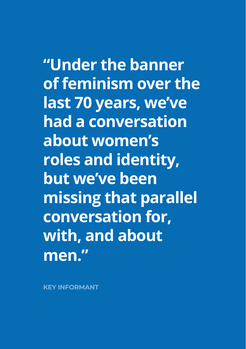**"Under the banner of feminism over the last 70 years, we've had a conversation about women's roles and identity, but we've been missing that parallel conversation for, with, and about men."** 

**KEY INFORMANT**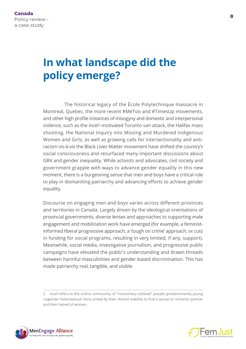### **In what landscape did the policy emerge?**

The historical legacy of the École Polytechnique massacre in Montreal, Quebec, the more recent #MeToo and #TimesUp movements, and other high profile instances of misogyny and domestic and interpersonal violence, such as the incel<sup>2</sup>-motivated Toronto van attack, the Halifax mass shooting, the National Inquiry into Missing and Murdered Indigenous Women and Girls, as well as growing calls for intersectionality and antiracism vis-à-vis the Black Lives Matter movement have shifted the country's social consciousness and resurfaced many important discussions about GBV and gender inequality. While activists and advocates, civil society and government grapple with ways to advance gender equality in this new moment, there is a burgeoning sense that men and boys have a critical role to play in dismantling patriarchy and advancing efforts to achieve gender equality.

Discourse on engaging men and boys varies across different provinces and territories in Canada. Largely driven by the ideological orientations of provincial governments, diverse lenses and approaches to supporting male engagement and mobilization work have emerged (for example, a feministinformed liberal progressive approach, a 'tough on crime' approach, or cuts in funding for social programs, resulting in very limited, if any, support). Meanwhile, social media, investigative journalism, and progressive public campaigns have elevated the public's understanding and drawn threads between harmful masculinities and gender-based discrimination. This has made patriarchy real, tangible, and visible.

<sup>2.</sup> Incel refers to the online community of "involuntary celibate" people (predominantly young cisgender heterosexual men) united by their shared inability to find a sexual or romantic partner and their hatred of women.



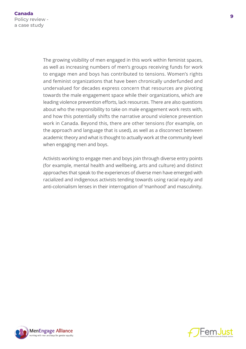The growing visibility of men engaged in this work within feminist spaces, as well as increasing numbers of men's groups receiving funds for work to engage men and boys has contributed to tensions. Women's rights and feminist organizations that have been chronically underfunded and undervalued for decades express concern that resources are pivoting towards the male engagement space while their organizations, which are leading violence prevention efforts, lack resources. There are also questions about who the responsibility to take on male engagement work rests with, and how this potentially shifts the narrative around violence prevention work in Canada. Beyond this, there are other tensions (for example, on the approach and language that is used), as well as a disconnect between academic theory and what is thought to actually work at the community level when engaging men and boys.

Activists working to engage men and boys join through diverse entry points (for example, mental health and wellbeing, arts and culture) and distinct approaches that speak to the experiences of diverse men have emerged with racialized and indigenous activists tending towards using racial equity and anti-colonialism lenses in their interrogation of 'manhood' and masculinity.



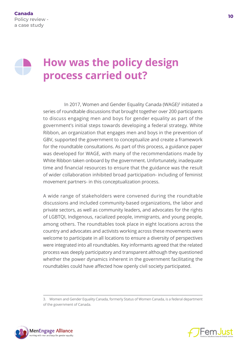### **How was the policy design process carried out?**

In 2017, Women and Gender Equality Canada (WAGE)<sup>3</sup> initiated a series of roundtable discussions that brought together over 200 participants to discuss engaging men and boys for gender equality as part of the government's initial steps towards developing a federal strategy. White Ribbon, an organization that engages men and boys in the prevention of GBV, supported the government to conceptualize and create a framework for the roundtable consultations. As part of this process, a guidance paper was developed for WAGE, with many of the recommendations made by White Ribbon taken onboard by the government. Unfortunately, inadequate time and financial resources to ensure that the guidance was the result of wider collaboration inhibited broad participation- including of feminist movement partners- in this conceptualization process.

A wide range of stakeholders were convened during the roundtable discussions and included community-based organizations, the labor and private sectors, as well as community leaders, and advocates for the rights of LGBTQI, Indigenous, racialized people, immigrants, and young people, among others. The roundtables took place in eight locations across the country and advocates and activists working across these movements were welcome to participate in all locations to ensure a diversity of perspectives were integrated into all roundtables. Key informants agreed that the related process was deeply participatory and transparent although they questioned whether the power dynamics inherent in the government facilitating the roundtables could have affected how openly civil society participated.





<sup>3.</sup> Women and Gender Equality Canada, formerly Status of Women Canada, is a federal department of the government of Canada.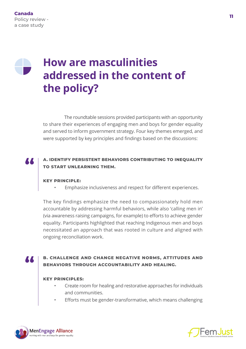### **How are masculinities addressed in the content of the policy?**

The roundtable sessions provided participants with an opportunity to share their experiences of engaging men and boys for gender equality and served to inform government strategy. Four key themes emerged, and were supported by key principles and findings based on the discussions:

#### **A. IDENTIFY PERSISTENT BEHAVIORS CONTRIBUTING TO INEQUALITY TO START UNLEARNING THEM.**

#### **KEY PRINCIPLE:**

• Emphasize inclusiveness and respect for different experiences.

The key findings emphasize the need to compassionately hold men accountable by addressing harmful behaviors, while also 'calling men in' (via awareness raising campaigns, for example) to efforts to achieve gender equality. Participants highlighted that reaching Indigenous men and boys necessitated an approach that was rooted in culture and aligned with ongoing reconciliation work.

#### **B. CHALLENGE AND CHANGE NEGATIVE NORMS, ATTITUDES AND BEHAVIORS THROUGH ACCOUNTABILITY AND HEALING.**

#### **KEY PRINCIPLES:**

- Create room for healing and restorative approaches for individuals and communities.
- Efforts must be gender-transformative, which means challenging



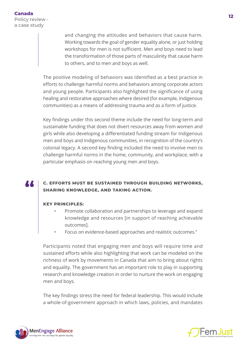and changing the attitudes and behaviors that cause harm. Working towards the goal of gender equality alone, or just holding workshops for men is not sufficient. Men and boys need to lead the transformation of those parts of masculinity that cause harm to others, and to men and boys as well.

The positive modeling of behaviors was identified as a best practice in efforts to challenge harmful norms and behaviors among corporate actors and young people. Participants also highlighted the significance of using healing and restorative approaches where desired (for example, Indigenous communities) as a means of addressing trauma and as a form of justice.

Key findings under this second theme include the need for long-term and sustainable funding that does not divert resources away from women and girls while also developing a differentiated funding stream for Indigenous men and boys and Indigenous communities, in recognition of the country's colonial legacy. A second key finding included the need to involve men to challenge harmful norms in the home, community, and workplace, with a particular emphasis on reaching young men and boys.

### **C. EFFORTS MUST BE SUSTAINED THROUGH BUILDING NETWORKS, SHARING KNOWLEDGE, AND TAKING ACTION.**

#### **KEY PRINCIPLES:**

- Promote collaboration and partnerships to leverage and expand knowledge and resources [in support of reaching achievable outcomes].
- Focus on evidence-based approaches and realistic outcomes."

Participants noted that engaging men and boys will require time and sustained efforts while also highlighting that work can be modeled on the richness of work by movements in Canada that aim to bring about rights and equality. The government has an important role to play in supporting research and knowledge creation in order to nurture the work on engaging men and boys.

The key findings stress the need for federal leadership. This would include a whole-of-government approach in which laws, policies, and mandates



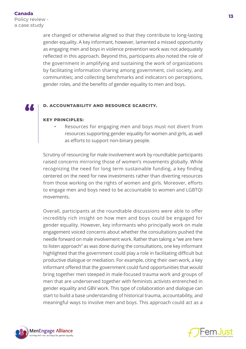are changed or otherwise aligned so that they contribute to long-lasting gender equality. A key informant, however, lamented a missed opportunity as engaging men and boys in violence prevention work was not adequately reflected in this approach. Beyond this, participants also noted the role of the government in amplifying and sustaining the work of organizations by facilitating information sharing among government, civil society, and communities; and collecting benchmarks and indicators on perceptions, gender roles, and the benefits of gender equality to men and boys.

#### **D. ACCOUNTABILITY AND RESOURCE SCARCITY.**

#### **KEY PRINCIPLES:**

Resources for engaging men and boys must not divert from resources supporting gender equality for women and girls, as well as efforts to support non-binary people.

Scrutiny of resourcing for male involvement work by roundtable participants raised concerns mirroring those of women's movements globally. While recognizing the need for long term sustainable funding, a key finding centered on the need for new investments rather than diverting resources from those working on the rights of women and girls. Moreover, efforts to engage men and boys need to be accountable to women and LGBTQI movements.

Overall, participants at the roundtable discussions were able to offer incredibly rich insight on how men and boys could be engaged for gender equality. However, key informants who principally work on male engagement voiced concerns about whether the consultations pushed the needle forward on male involvement work. Rather than taking a "we are here to listen approach" as was done during the consultations, one key informant highlighted that the government could play a role in facilitating difficult but productive dialogue or mediation. For example, citing their own work, a key informant offered that the government could fund opportunities that would bring together men steeped in male-focused trauma work and groups of men that are underserved together with feminists activists entrenched in gender equality and GBV work. This type of collaboration and dialogue can start to build a base understanding of historical trauma, accountability, and meaningful ways to involve men and boys. This approach could act as a



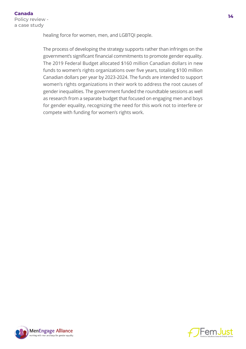healing force for women, men, and LGBTQI people.

The process of developing the strategy supports rather than infringes on the government's significant financial commitments to promote gender equality. The 2019 Federal Budget allocated \$160 million Canadian dollars in new funds to women's rights organizations over five years, totaling \$100 million Canadian dollars per year by 2023-2024. The funds are intended to support women's rights organizations in their work to address the root causes of gender inequalities. The government funded the roundtable sessions as well as research from a separate budget that focused on engaging men and boys for gender equality, recognizing the need for this work not to interfere or compete with funding for women's rights work.



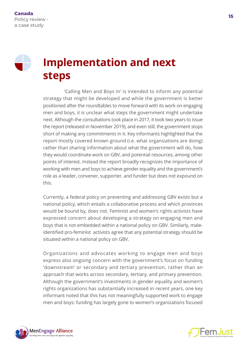### **Implementation and next steps**

'Calling Men and Boys In' is intended to inform any potential strategy that might be developed and while the government is better positioned after the roundtables to move forward with its work on engaging men and boys, it is unclear what steps the government might undertake next. Although the consultations took place in 2017, it took two years to issue the report (released in November 2019), and even still, the government stops short of making any commitments in it. Key informants highlighted that the report mostly covered known ground (i.e. what organizations are doing) rather than sharing information about what the government will do, how they would coordinate work on GBV, and potential resources, among other points of interest. Instead the report broadly recognizes the importance of working with men and boys to achieve gender equality and the government's role as a leader, convener, supporter, and funder but does not expound on this.

Currently, a federal policy on preventing and addressing GBV exists but a national policy, which entails a collaborative process and which provinces would be bound by, does not. Feminist and women's rights activists have expressed concern about developing a strategy on engaging men and boys that is not embedded within a national policy on GBV. Similarly, maleidentified pro-feminist activists agree that any potential strategy should be situated within a national policy on GBV.

Organizations and advocates working to engage men and boys express also ongoing concern with the government's focus on funding 'downstream' or secondary and tertiary prevention, rather than an approach that works across secondary, tertiary, and primary prevention. Although the government's investments in gender equality and women's rights organizations has substantially increased in recent years, one key informant noted that this has not meaningfully supported work to engage men and boys: funding has largely gone to women's organizations focused



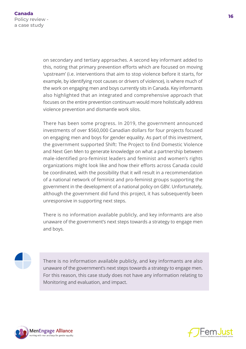on secondary and tertiary approaches. A second key informant added to this, noting that primary prevention efforts which are focused on moving 'upstream' (i.e. interventions that aim to stop violence before it starts, for example, by identifying root causes or drivers of violence), is where much of the work on engaging men and boys currently sits in Canada. Key informants also highlighted that an integrated and comprehensive approach that focuses on the entire prevention continuum would more holistically address violence prevention and dismantle work silos.

There has been some progress. In 2019, the government announced investments of over \$560,000 Canadian dollars for four projects focused on engaging men and boys for gender equality. As part of this investment, the government supported Shift: The Project to End Domestic Violence and Next Gen Men to generate knowledge on what a partnership between male-identified pro-feminist leaders and feminist and women's rights organizations might look like and how their efforts across Canada could be coordinated, with the possibility that it will result in a recommendation of a national network of feminist and pro-feminist groups supporting the government in the development of a national policy on GBV. Unfortunately, although the government did fund this project, it has subsequently been unresponsive in supporting next steps.

There is no information available publicly, and key informants are also unaware of the government's next steps towards a strategy to engage men and boys.

There is no information available publicly, and key informants are also unaware of the government's next steps towards a strategy to engage men. For this reason, this case study does not have any information relating to Monitoring and evaluation, and impact.



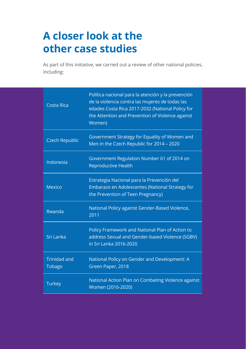### **A closer look at the other case studies**

As part of this initiative, we carried out a review of other national policies, including:

| <b>Costa Rica</b>             | Política nacional para la atención y la prevención<br>de la violencia contra las mujeres de todas las<br>edades Costa Rica 2017-2032 (National Policy for<br>the Attention and Prevention of Violence against<br>Women) |
|-------------------------------|-------------------------------------------------------------------------------------------------------------------------------------------------------------------------------------------------------------------------|
| <b>Czech Republic</b>         | Government Strategy for Equality of Women and<br>Men in the Czech Republic for 2014 - 2020                                                                                                                              |
| Indonesia                     | Government Regulation Number 61 of 2014 on<br><b>Reproductive Health</b>                                                                                                                                                |
| <b>Mexico</b>                 | Estrategia Nacional para la Prevención del<br>Embarazo en Adolescentes (National Strategy for<br>the Prevention of Teen Pregnancy)                                                                                      |
| Rwanda                        | National Policy against Gender-Based Violence,<br>2011                                                                                                                                                                  |
| Sri Lanka                     | Policy Framework and National Plan of Action to<br>address Sexual and Gender-based Violence (SGBV)<br>in Sri Lanka 2016-2020                                                                                            |
| <b>Trinidad and</b><br>Tobago | National Policy on Gender and Development: A<br>Green Paper, 2018                                                                                                                                                       |
| Turkey                        | National Action Plan on Combating Violence against<br>Women (2016-2020)                                                                                                                                                 |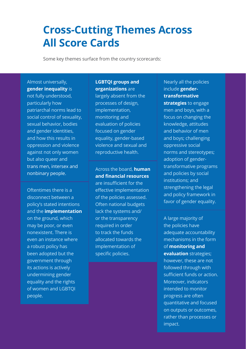### **Cross-Cutting Themes Across All Score Cards**

Some key themes surface from the country scorecards:

#### Almost universally, **gender inequality** is

not fully understood, particularly how patriarchal norms lead to social control of sexuality, sexual behavior, bodies and gender identities, and how this results in oppression and violence against not only women but also queer and trans men, intersex and nonbinary people.

Oftentimes there is a disconnect between a policy's stated intentions and the **implementation** on the ground, which may be poor, or even nonexistent. There is even an instance where a robust policy has been adopted but the government through its actions is actively undermining gender equality and the rights of women and LGBTQI people.

#### **LGBTQI groups and organizations** are

largely absent from the processes of design, implementation, monitoring and evaluation of policies focused on gender equality, gender-based violence and sexual and reproductive health.

Across the board, **human and financial resources**  are insufficient for the effective implementation of the policies assessed. Often national budgets lack the systems and/ or the transparency required in order to track the funds allocated towards the implementation of specific policies.

#### Nearly all the policies include **gendertransformative**

**strategies** to engage men and boys, with a focus on changing the knowledge, attitudes and behavior of men and boys; challenging oppressive social norms and stereotypes; adoption of gendertransformative programs and policies by social institutions; and strengthening the legal and policy framework in favor of gender equality.

A large majority of the policies have adequate accountability mechanisms in the form of **monitoring and evaluation** strategies; however, these are not followed through with sufficient funds or action. Moreover, indicators intended to monitor progress are often quantitative and focused on outputs or outcomes, rather than processes or impact.